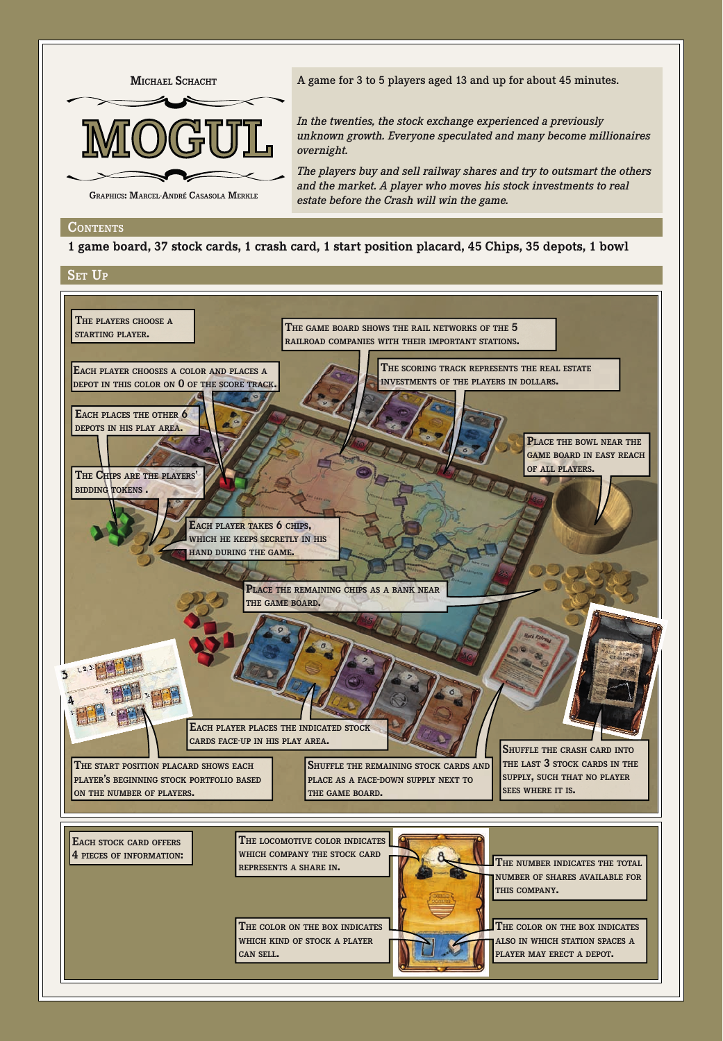

A game for 3 to 5 players aged 13 and up for about 45 minutes.

*In the twenties, the stock exchange experienced a previously unknown growth. Everyone speculated and many become millionaires overnight.*

*The players buy and sell railway shares and try to outsmart the others and the market. A player who moves his stock investments to real estate before the Crash will win the game.*

#### **conTenTS**

**1 game board, 37 stock cards, 1 crash card, 1 start position placard, 45 Chips, 35 depots, 1 bowl**

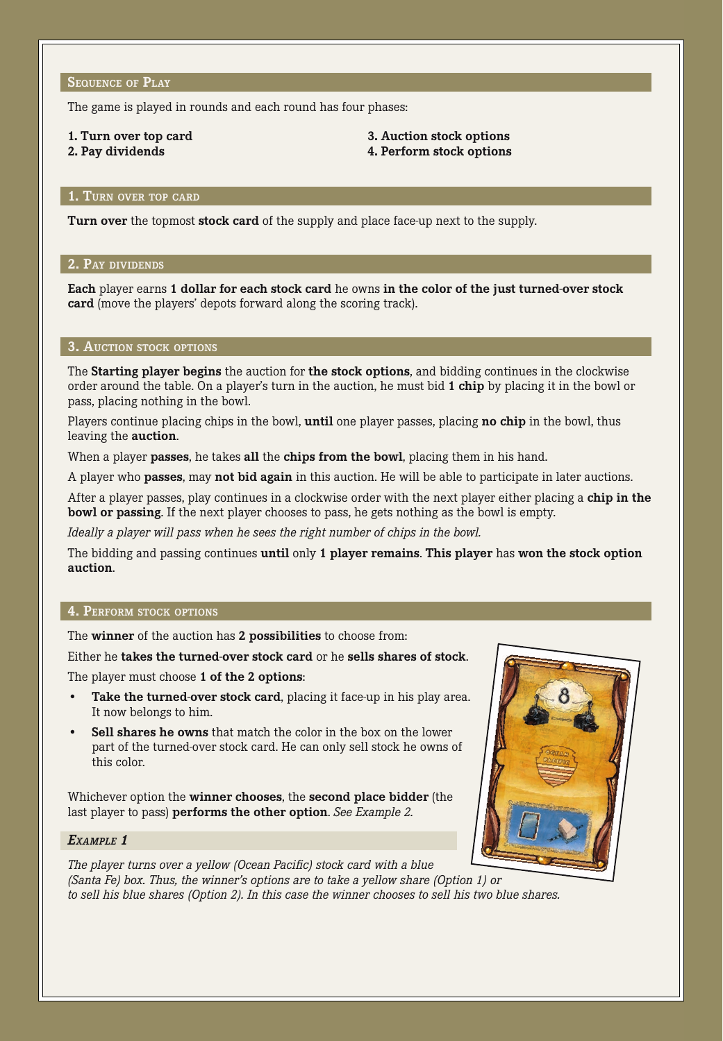The game is played in rounds and each round has four phases:

# **1. Turn over top card**

**2. Pay dividends**

# **3. Auction stock options 4. Perform stock options**

# **1. Turn over top card**

**Turn over** the topmost **stock card** of the supply and place face-up next to the supply.

# **2. Pay dividends**

**Each** player earns **1 dollar for each stock card** he owns **in the color of the just turned-over stock card** (move the players' depots forward along the scoring track).

## **3. Auction stock options**

The **Starting player begins** the auction for **the stock options**, and bidding continues in the clockwise order around the table. On a player's turn in the auction, he must bid **1 chip** by placing it in the bowl or pass, placing nothing in the bowl.

Players continue placing chips in the bowl, **until** one player passes, placing **no chip** in the bowl, thus leaving the **auction**.

When a player **passes**, he takes **all** the **chips from the bowl**, placing them in his hand.

A player who **passes**, may **not bid again** in this auction. He will be able to participate in later auctions.

After a player passes, play continues in a clockwise order with the next player either placing a **chip in the bowl or passing**. If the next player chooses to pass, he gets nothing as the bowl is empty.

*Ideally a player will pass when he sees the right number of chips in the bowl.* 

The bidding and passing continues **until** only **1 player remains**. **This player** has **won the stock option auction**.

# **4. Perform stock options**

The **winner** of the auction has **2 possibilities** to choose from:

## Either he **takes the turned-over stock card** or he **sells shares of stock**.

The player must choose **1 of the 2 options**:

- **Take the turned-over stock card**, placing it face-up in his play area. It now belongs to him.
- **Sell shares he owns** that match the color in the box on the lower part of the turned-over stock card. He can only sell stock he owns of this color.

Whichever option the **winner chooses**, the **second place bidder** (the last player to pass) **performs the other option**. *See Example 2.*

## *Example 1*

*The player turns over a yellow (Ocean Pacific) stock card with a blue (Santa Fe) box. Thus, the winner's options are to take a yellow share (Option 1) or to sell his blue shares (Option 2). In this case the winner chooses to sell his two blue shares.*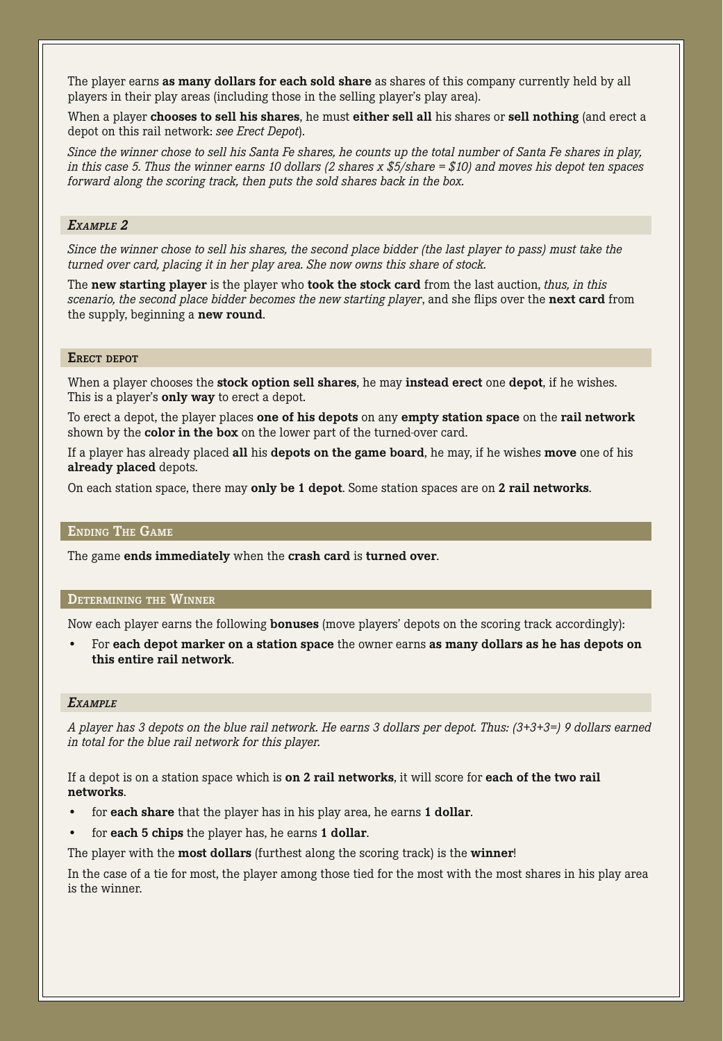The player earns **as many dollars for each sold share** as shares of this company currently held by all players in their play areas (including those in the selling player's play area).

When a player **chooses to sell his shares**, he must **either sell all** his shares or **sell nothing** (and erect a depot on this rail network: *see Erect Depot*).

*Since the winner chose to sell his Santa Fe shares, he counts up the total number of Santa Fe shares in play, in this case 5. Thus the winner earns 10 dollars (2 shares x \$5/share = \$10) and moves his depot ten spaces forward along the scoring track, then puts the sold shares back in the box.*

### *Example 2*

*Since the winner chose to sell his shares, the second place bidder (the last player to pass) must take the turned over card, placing it in her play area. She now owns this share of stock.* 

The **new starting player** is the player who **took the stock card** from the last auction, *thus, in this scenario, the second place bidder becomes the new starting player*, and she flips over the **next card** from the supply, beginning a **new round**.

# **Erect depot**

When a player chooses the **stock option sell shares**, he may **instead erect** one **depot**, if he wishes. This is a player's **only way** to erect a depot.

To erect a depot, the player places **one of his depots** on any **empty station space** on the **rail network**  shown by the **color in the box** on the lower part of the turned-over card.

If a player has already placed **all** his **depots on the game board**, he may, if he wishes **move** one of his **already placed** depots.

On each station space, there may **only be 1 depot**. Some station spaces are on **2 rail networks**.

### **Ending The Game**

The game **ends immediately** when the **crash card** is **turned over**.

#### **Determining the Winner**

Now each player earns the following **bonuses** (move players' depots on the scoring track accordingly):

• For **each depot marker on a station space** the owner earns **as many dollars as he has depots on this entire rail network**.

#### *Example*

*A player has 3 depots on the blue rail network. He earns 3 dollars per depot. Thus: (3+3+3=) 9 dollars earned in total for the blue rail network for this player.* 

If a depot is on a station space which is **on 2 rail networks**, it will score for **each of the two rail networks**.

- for **each share** that the player has in his play area, he earns **1 dollar**.
- for **each 5 chips** the player has, he earns **1 dollar**.

The player with the **most dollars** (furthest along the scoring track) is the **winner**!

In the case of a tie for most, the player among those tied for the most with the most shares in his play area is the winner.